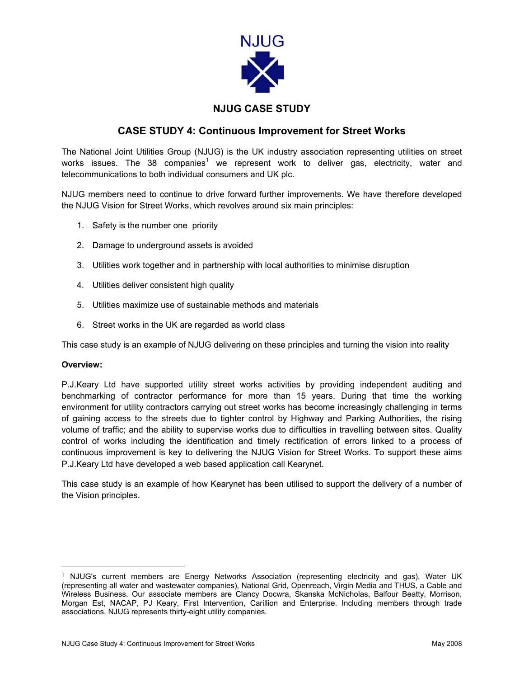

## **NJUG CASE STUDY**

## **CASE STUDY 4: Continuous Improvement for Street Works**

The National Joint Utilities Group (NJUG) is the UK industry association representing utilities on street works issues. The 38 companies<sup>[1](#page-0-0)</sup> we represent work to deliver gas, electricity, water and telecommunications to both individual consumers and UK plc.

NJUG members need to continue to drive forward further improvements. We have therefore developed the NJUG Vision for Street Works, which revolves around six main principles:

- 1. Safety is the number one priority
- 2. Damage to underground assets is avoided
- 3. Utilities work together and in partnership with local authorities to minimise disruption
- 4. Utilities deliver consistent high quality
- 5. Utilities maximize use of sustainable methods and materials
- 6. Street works in the UK are regarded as world class

This case study is an example of NJUG delivering on these principles and turning the vision into reality

## **Overview:**

P.J.Keary Ltd have supported utility street works activities by providing independent auditing and benchmarking of contractor performance for more than 15 years. During that time the working environment for utility contractors carrying out street works has become increasingly challenging in terms of gaining access to the streets due to tighter control by Highway and Parking Authorities, the rising volume of traffic; and the ability to supervise works due to difficulties in travelling between sites. Quality control of works including the identification and timely rectification of errors linked to a process of continuous improvement is key to delivering the NJUG Vision for Street Works. To support these aims P.J.Keary Ltd have developed a web based application call Kearynet.

This case study is an example of how Kearynet has been utilised to support the delivery of a number of the Vision principles.

<span id="page-0-0"></span><sup>&</sup>lt;sup>1</sup> NJUG's current members are Energy Networks Association (representing electricity and gas), Water UK (representing all water and wastewater companies), National Grid, Openreach, Virgin Media and THUS, a Cable and Wireless Business. Our associate members are Clancy Docwra, Skanska McNicholas, Balfour Beatty, Morrison, Morgan Est, NACAP, PJ Keary, First Intervention, Carillion and Enterprise. Including members through trade associations, NJUG represents thirty-eight utility companies.